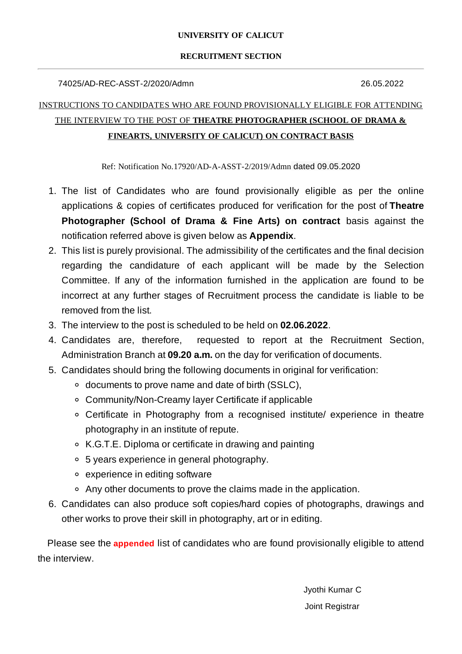### **UNIVERSITY OF CALICUT**

### **RECRUITMENT SECTION**

### 74025/AD-REC-ASST-2/2020/Admn 26.05.2022

### INSTRUCTIONS TO CANDIDATES WHO ARE FOUND PROVISIONALLY ELIGIBLE FOR ATTENDING THE INTERVIEW TO THE POST OF **THEATRE PHOTOGRAPHER (SCHOOL OF DRAMA & FINEARTS, UNIVERSITY OF CALICUT) ON CONTRACT BASIS**

Ref: Notification No.17920/AD-A-ASST-2/2019/Admn dated 09.05.2020

- 1. The list of Candidates who are found provisionally eligible as per the online applications & copies of certificates produced for verification for the post of **Theatre Photographer (School of Drama & Fine Arts) on contract** basis against the notification referred above is given below as **Appendix**.
- 2. This list is purely provisional. The admissibility of the certificates and the final decision regarding the candidature of each applicant will be made by the Selection Committee. If any of the information furnished in the application are found to be incorrect at any further stages of Recruitment process the candidate is liable to be removed from the list.
- 3. The interview to the post is scheduled to be held on **02.06.2022**.
- 4. Candidates are, therefore, requested to report at the Recruitment Section, Administration Branch at **09.20 a.m.** on the day for verification of documents.
- 5. Candidates should bring the following documents in original for verification:
	- documents to prove name and date of birth (SSLC),
	- Community/Non-Creamy layer Certificate if applicable
	- Certificate in Photography from a recognised institute/ experience in theatre photography in an institute of repute.
	- K.G.T.E. Diploma or certificate in drawing and painting
	- 5 years experience in general photography.
	- experience in editing software
	- Any other documents to prove the claims made in the application.
- 6. Candidates can also produce soft copies/hard copies of photographs, drawings and other works to prove their skill in photography, art or in editing.

Please see the **appended** list of candidates who are found provisionally eligible to attend the interview.

> Jyothi Kumar C Joint Registrar